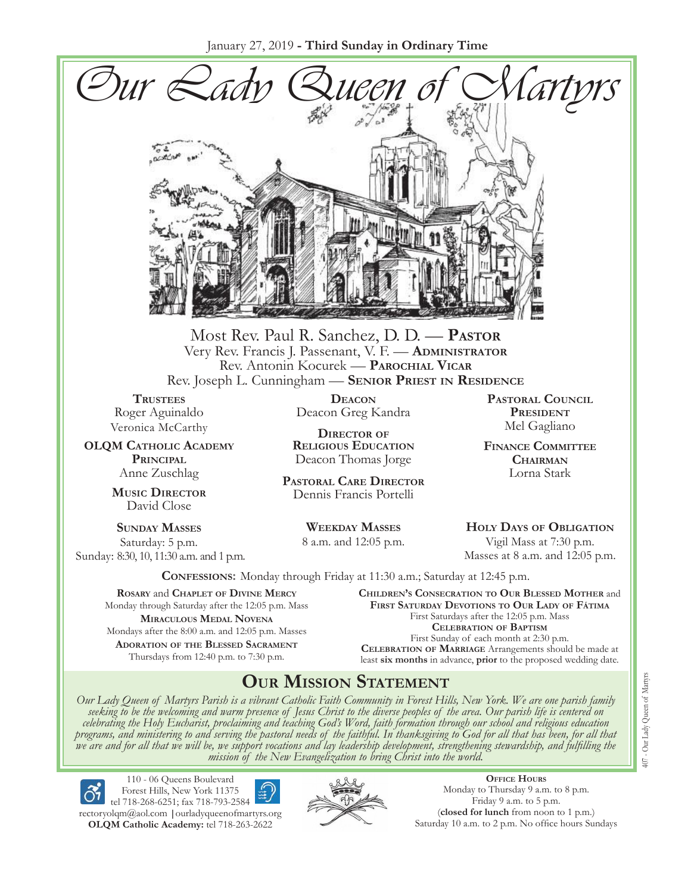January 27, 2019 **- Third Sunday in Ordinary Time**



Most Rev. Paul R. Sanchez, D. D. — **Pastor** Very Rev. Francis J. Passenant, V. F. — **Administrator** Rev. Antonin Kocurek — **Parochial Vicar** Rev. Joseph L. Cunningham — **Senior Priest in Residence**

**TRUSTEES** Roger Aguinaldo Veronica McCarthy

**OLQM Catholic Academy Principal** Anne Zuschlag

> **Music Director** David Close

**Sunday Masses** Saturday: 5 p.m. Sunday: 8:30, 10, 11:30 a.m. and 1 p.m.

**Deacon** Deacon Greg Kandra

**Director of Religious Education** Deacon Thomas Jorge

**Pastoral Care Director** Dennis Francis Portelli

> **Weekday Masses** 8 a.m. and 12:05 p.m.

**Pastoral Council President** Mel Gagliano

**Finance Committee Chairman** Lorna Stark

**Holy Days of Obligation** Vigil Mass at 7:30 p.m. Masses at 8 a.m. and 12:05 p.m.

**Confessions:** Monday through Friday at 11:30 a.m.; Saturday at 12:45 p.m.

**Rosary** and **Chaplet of Divine Mercy** Monday through Saturday after the 12:05 p.m. Mass **Miraculous Medal Novena** Mondays after the 8:00 a.m. and 12:05 p.m. Masses **Adoration of the Blessed Sacrament** Thursdays from 12:40 p.m. to 7:30 p.m.

**Children's Consecration to Our Blessed Mother** and **First Saturday Devotions to Our Lady of Fátima** First Saturdays after the 12:05 p.m. Mass **Celebration of Baptism** First Sunday of each month at 2:30 p.m. **Celebration of Marriage** Arrangements should be made at least **six months** in advance, **prior** to the proposed wedding date.

## **Our Mission Statement**

Our Lady Queen of Martyrs Parish is a vibrant Catholic Faith Community in Forest Hills, New York. We are one parish family<br>seeking to be the welcoming and warm presence of Jesus Christ to the diverse peoples of the area. O *celebrating the Holy Eucharist, proclaiming and teaching God's Word, faith formation through our school and religious education*  programs, and ministering to and serving the pastoral needs of the faithful. In thanksgiving to God for all that has been, for all that<br>we are and for all that we will be, we support vocations and lay leadership developmen



110 - 06 Queens Boulevard Forest Hills, New York 11375 tel 718-268-6251; fax 718-793-2584

[rectoryolqm@aol.com](mailto:rectoryolqm@aol.com) **|**[ourladyqueenofmartyrs.org](www.ourladyqueenofmartyrs.org) **OLQM Catholic Academy:** tel 718-263-2622



**Office Hours** Monday to Thursday 9 a.m. to 8 p.m. Friday 9 a.m. to 5 p.m. (**closed for lunch** from noon to 1 p.m.) Saturday 10 a.m. to 2 p.m. No office hours Sundays 407 - Our Lady Queen of Martyrs 407 - Our Lady Queen of Martyrs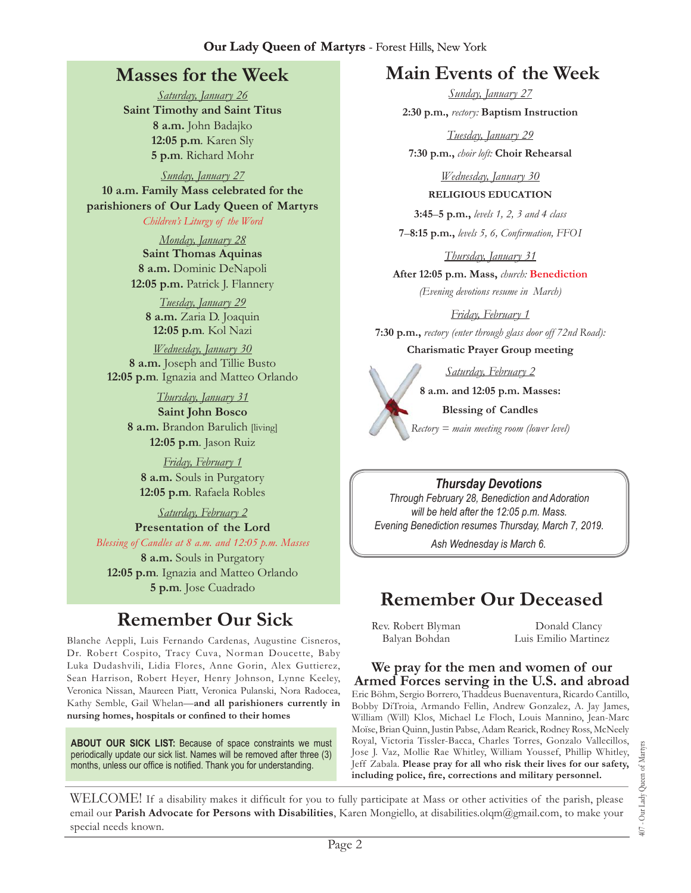## **Masses for the Week**

*Saturday, January 26* **Saint Timothy and Saint Titus 8 a.m.** John Badajko **12:05 p.m***.* Karen Sly **5 p.m***.* Richard Mohr

*Sunday, January 27* **10 a.m. Family Mass celebrated for the parishioners of Our Lady Queen of Martyrs**

#### *Children's Liturgy of the Word*

*Monday, January 28* **Saint Thomas Aquinas 8 a.m.** Dominic DeNapoli **12:05 p.m.** Patrick J. Flannery

*Tuesday, January 29* **8 a.m.** Zaria D. Joaquin **12:05 p.m***.* Kol Nazi

*Wednesday, January 30* **8 a.m.** Joseph and Tillie Busto **12:05 p.m***.* Ignazia and Matteo Orlando

> *Thursday, January 31* **Saint John Bosco 8 a.m.** Brandon Barulich [living] **12:05 p.m***.* Jason Ruiz

*Friday, February 1* **8 a.m.** Souls in Purgatory **12:05 p.m***.* Rafaela Robles

*Saturday, February 2* **Presentation of the Lord** 

*Blessing of Candles at 8 a.m. and 12:05 p.m. Masses* **8 a.m.** Souls in Purgatory **12:05 p.m***.* Ignazia and Matteo Orlando **5 p.m***.* Jose Cuadrado

# **Remember Our Sick**

Blanche Aeppli, Luis Fernando Cardenas, Augustine Cisneros, Dr. Robert Cospito, Tracy Cuva, Norman Doucette, Baby Luka Dudashvili, Lidia Flores, Anne Gorin, Alex Guttierez, Sean Harrison, Robert Heyer, Henry Johnson, Lynne Keeley, Veronica Nissan, Maureen Piatt, Veronica Pulanski, Nora Radocea, Kathy Semble, Gail Whelan—**and all parishioners currently in nursing homes, hospitals or confined to their homes**

**About Our Sick List:** Because of space constraints we must periodically update our sick list. Names will be removed after three (3) months, unless our office is notified. Thank you for understanding.

## **Main Events of the Week**

*Sunday, January 27* **2:30 p.m.,** *rectory:* **Baptism Instruction**

*Tuesday, January 29* **7:30 p.m.,** *choir loft:* **Choir Rehearsal**

> *Wednesday, January 30* **Religious Education**

**3:45**–**5 p.m.,** *levels 1, 2, 3 and 4 class*

**7**–**8:15 p.m.,** *levels 5, 6, Confirmation, FFO  I*

*Thursday, January 31*

**After 12:05 p.m. Mass,** *church:* **Benediction** *(Evening devotions resume in March)*

*Friday, February 1*

**7:30 p.m.,** *rectory (enter through glass door off 72nd Road):*  **Charismatic Prayer Group meeting**

*Saturday, February 2*

**8 a.m. and 12:05 p.m. Masses:** 

**Blessing of Candles** *Rectory = main meeting room (lower level)*

#### *Thursday Devotions*

*Through February 28, Benediction and Adoration will be held after the 12:05 p.m. Mass. Evening Benediction resumes Thursday, March 7, 2019.*

*Ash Wednesday is March 6.*

# **Remember Our Deceased**

Rev. Robert Blyman Balyan Bohdan

Donald Clancy Luis Emilio Martinez

## **We pray for the men and women of our Armed Forces serving in the U.S. and abroad**

Eric Böhm, Sergio Borrero, Thaddeus Buenaventura, Ricardo Cantillo, Bobby DiTroia, Armando Fellin, Andrew Gonzalez, A. Jay James, William (Will) Klos, Michael Le Floch, Louis Mannino, Jean-Marc Moïse, Brian Quinn, Justin Pabse, Adam Rearick, Rodney Ross, McNeely Royal, Victoria Tissler-Bacca, Charles Torres, Gonzalo Vallecillos, Jose J. Vaz, Mollie Rae Whitley, William Youssef, Phillip Whitley, Jeff Zabala. **Please pray for all who risk their lives for our safety, including police, fire, corrections and military personnel.**

WELCOME! If a disability makes it difficult for you to fully participate at Mass or other activities of the parish, please email our **Parish Advocate for Persons with Disabilities**, Karen Mongiello, at [disabilities.olqm@gmail.com,](mailto:disabilities.olqm@gmail.com) to make your special needs known.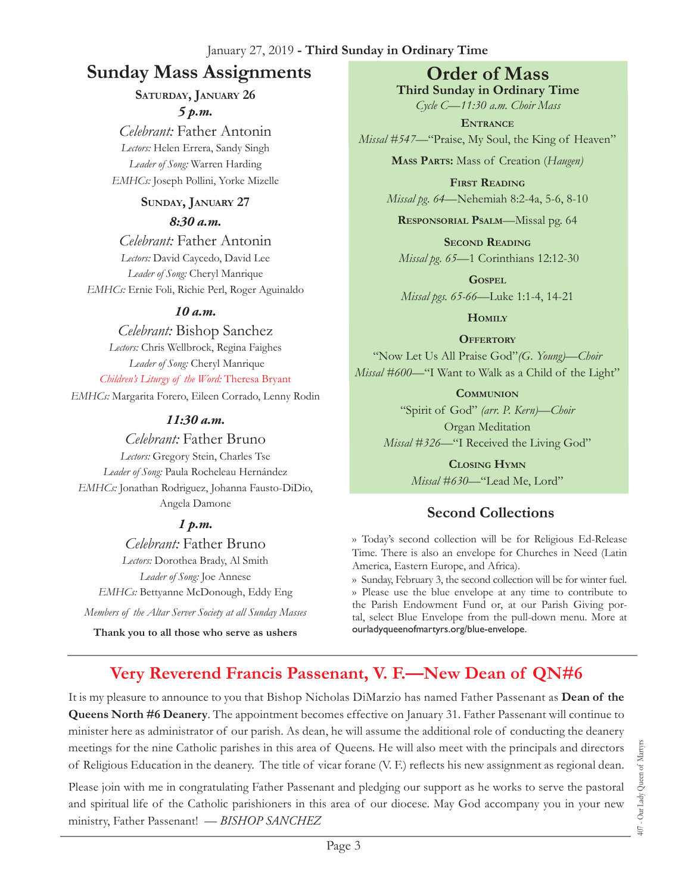#### January 27, 2019 **- Third Sunday in Ordinary Time**

## **Sunday Mass Assignments Order of Mass**

## **Saturday, January 26** *5 p.m.*

*Celebrant:* Father Antonin *Lectors:* Helen Errera, Sandy Singh *Leader of Song:* Warren Harding *EMHCs:* Joseph Pollini, Yorke Mizelle

#### **Sunday, January 27**

#### *8:30 a.m.*

*Celebrant:* Father Antonin *Lectors:* David Caycedo, David Lee *Leader of Song:* Cheryl Manrique *EMHCs:* Ernie Foli, Richie Perl, Roger Aguinaldo

## *10 a.m.*

*Celebrant:* Bishop Sanchez *Lectors:* Chris Wellbrock, Regina Faighes *Leader of Song:* Cheryl Manrique *Children's Liturgy of the Word:* Theresa Bryant *EMHCs:* Margarita Forero, Eileen Corrado, Lenny Rodin

## *11:30 a.m.*

#### *Celebrant:* Father Bruno

*Lectors:* Gregory Stein, Charles Tse *Leader of Song:* Paula Rocheleau Hernández *EMHCs:* Jonathan Rodriguez, Johanna Fausto-DiDio, Angela Damone

## *1 p.m.*

*Celebrant:* Father Bruno *Lectors:* Dorothea Brady, Al Smith *Leader of Song:* Joe Annese *EMHCs:* Bettyanne McDonough, Eddy Eng

*Members of the Altar Server Society at all Sunday Masses*

**Thank you to all those who serve as ushers**

**Third Sunday in Ordinary Time** *Cycle C—11:30 a.m. Choir Mass*

**Entrance** *Missal* #547—"Praise, My Soul, the King of Heaven"

**Mass Parts:** Mass of Creation (*Haugen)*

**First Reading** *Missal pg. 64—*Nehemiah 8:2-4a, 5-6, 8-10

**Responsorial Psalm**—Missal pg. 64

**Second Reading** *Missal pg. 65—*1 Corinthians 12:12-30

**Gospel** *Missal pgs. 65-66—*Luke 1:1-4, 14-21

**Homily**

**OFFERTORY** 

"Now Let Us All Praise God"*(G. Young)—Choir Missal #600—*"I Want to Walk as a Child of the Light"

**Communion**

"Spirit of God" *(arr. P. Kern)—Choir* Organ Meditation *Missal #326—*"I Received the Living God"

> **Closing Hymn** *Missal #630*—"Lead Me, Lord"

## **Second Collections**

›› Today's second collection will be for Religious Ed-Release Time. There is also an envelope for Churches in Need (Latin America, Eastern Europe, and Africa).

›› Sunday, February 3, the second collection will be for winter fuel. ›› Please use the blue envelope at any time to contribute to the Parish Endowment Fund or, at our Parish Giving portal, select Blue Envelope from the pull-down menu. More at ourladyqueenofmartyrs.org/blue-envelope.

## **Very Reverend Francis Passenant, V. F.—New Dean of QN#6**

It is my pleasure to announce to you that Bishop Nicholas DiMarzio has named Father Passenant as **Dean of the Queens North #6 Deanery**. The appointment becomes effective on January 31. Father Passenant will continue to minister here as administrator of our parish. As dean, he will assume the additional role of conducting the deanery meetings for the nine Catholic parishes in this area of Queens. He will also meet with the principals and directors of Religious Education in the deanery. The title of vicar forane (V. F.) reflects his new assignment as regional dean.

Please join with me in congratulating Father Passenant and pledging our support as he works to serve the pastoral and spiritual life of the Catholic parishioners in this area of our diocese. May God accompany you in your new ministry, Father Passenant! *— BISHOP SANCHEZ*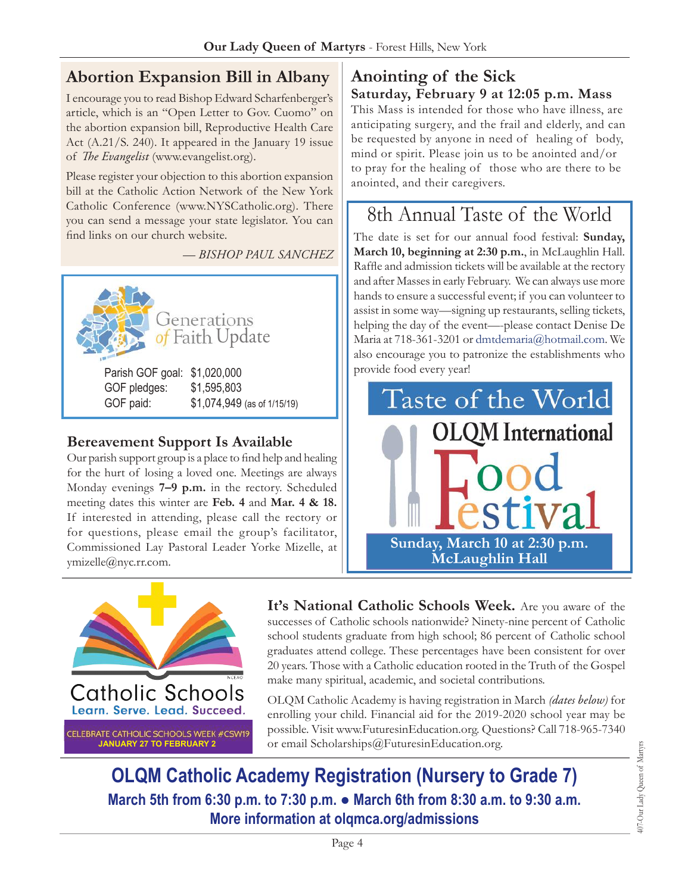## **Abortion Expansion Bill in Albany**

I encourage you to read Bishop Edward Scharfenberger's article, which is an "Open Letter to Gov. Cuomo" on the abortion expansion bill, Reproductive Health Care Act (A.21/S. 240). It appeared in the January 19 issue of *The Evangelist* ([www.evangelist.org](http://www.evangelist.org)).

Please register your objection to this abortion expansion bill at the Catholic Action Network of the New York Catholic Conference ([www.NYSCatholic.org\)](http://www.NYSCatholic.org). There you can send a message your state legislator. You can find links on our church website.

*— Bishop Paul Sanchez*



## **Bereavement Support Is Available**

Our parish support group is a place to find help and healing for the hurt of losing a loved one. Meetings are always Monday evenings **7–9 p.m.** in the rectory. Scheduled meeting dates this winter are **Feb. 4** and **Mar. 4 & 18.** If interested in attending, please call the rectory or for questions, please email the group's facilitator, Commissioned Lay Pastoral Leader Yorke Mizelle, at [ymizelle@nyc.rr.com](mailto:ymizelle@nyc.rr.com).

## **Anointing of the Sick Saturday, February 9 at 12:05 p.m. Mass**

This Mass is intended for those who have illness, are anticipating surgery, and the frail and elderly, and can be requested by anyone in need of healing of body, mind or spirit. Please join us to be anointed and/or to pray for the healing of those who are there to be anointed, and their caregivers.

# 8th Annual Taste of the World

The date is set for our annual food festival: **Sunday, March 10, beginning at 2:30 p.m.**, in McLaughlin Hall. Raffle and admission tickets will be available at the rectory and after Masses in early February. We can always use more hands to ensure a successful event; if you can volunteer to assist in some way—signing up restaurants, selling tickets, helping the day of the event—-please contact Denise De Maria at 718-361-3201 or [dmtdemaria@hotmail.com](mailto:dmtdemaria@hotmail.com). We also encourage you to patronize the establishments who provide food every year!





**It's National Catholic Schools Week.** Are you aware of the successes of Catholic schools nationwide? Ninety-nine percent of Catholic school students graduate from high school; 86 percent of Catholic school graduates attend college. These percentages have been consistent for over 20 years. Those with a Catholic education rooted in the Truth of the Gospel make many spiritual, academic, and societal contributions.

OLQM Catholic Academy is having registration in March *(dates below)* for enrolling your child. Financial aid for the 2019-2020 school year may be possible. Visit [www.FuturesinEducation.org.](http://www.FuturesinEducation.org) Questions? Call 718-965-7340 or email [Scholarships@FuturesinEducation.org](mailto:Scholarships@FuturesinEducation.org).

**OLQM Catholic Academy Registration (Nursery to Grade 7) March 5th from 6:30 p.m. to 7:30 p.m. ● March 6th from 8:30 a.m. to 9:30 a.m. More information at [olqmca.org/admissions](https://olqmca.org/admissions/)**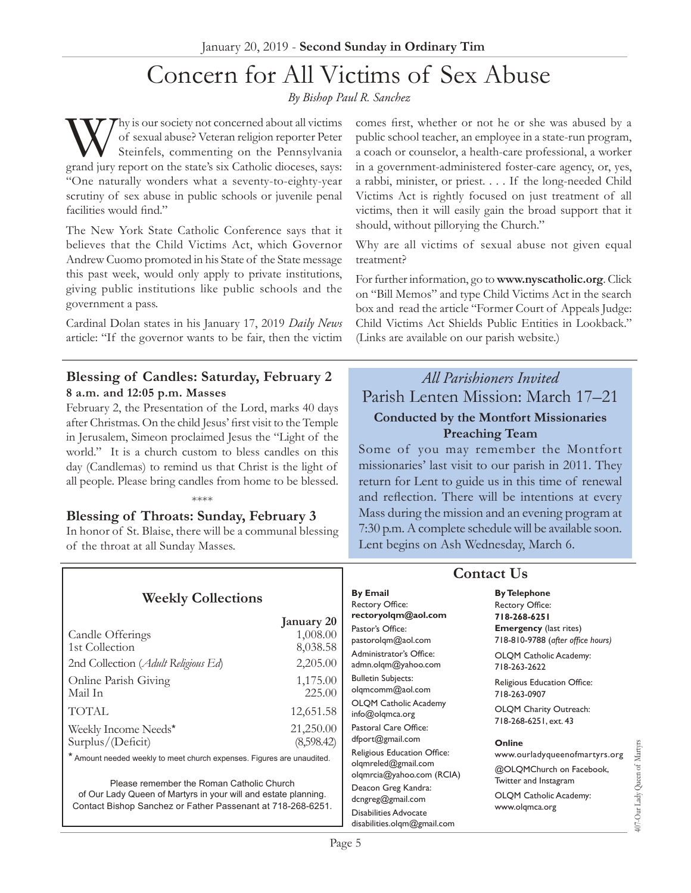# Concern for All Victims of Sex Abuse

*By Bishop Paul R. Sanchez*

Why is our society not concerned about all victims of sexual abuse? Veteran religion reporter Peter Steinfels, commenting on the Pennsylvania grand jury report on the state's six Catholic dioceses, says: "One naturally wonders what a seventy-to-eighty-year scrutiny of sex abuse in public schools or juvenile penal facilities would find."

The New York State Catholic Conference says that it believes that the Child Victims Act, which Governor Andrew Cuomo promoted in his State of the State message this past week, would only apply to private institutions, giving public institutions like public schools and the government a pass.

Cardinal Dolan states in his January 17, 2019 *Daily News* article: "If the governor wants to be fair, then the victim

#### **Blessing of Candles: Saturday, February 2 8 a.m. and 12:05 p.m. Masses**

February 2, the Presentation of the Lord, marks 40 days after Christmas. On the child Jesus' first visit to the Temple in Jerusalem, Simeon proclaimed Jesus the "Light of the world." It is a church custom to bless candles on this day (Candlemas) to remind us that Christ is the light of all people. Please bring candles from home to be blessed.

#### **Blessing of Throats: Sunday, February 3**

In honor of St. Blaise, there will be a communal blessing of the throat at all Sunday Masses.

\*\*\*\*

comes first, whether or not he or she was abused by a public school teacher, an employee in a state-run program, a coach or counselor, a health-care professional, a worker in a government-administered foster-care agency, or, yes, a rabbi, minister, or priest. . . . If the long-needed Child Victims Act is rightly focused on just treatment of all victims, then it will easily gain the broad support that it should, without pillorying the Church."

Why are all victims of sexual abuse not given equal treatment?

For further information, go to **[www.nyscatholic.org](http://www.nyscatholic.org)**. Click on "Bill Memos" and type Child Victims Act in the search box and read the article "Former Court of Appeals Judge: Child Victims Act Shields Public Entities in Lookback." (Links are available on our parish website.)

## *All Parishioners Invited* Parish Lenten Mission: March 17–21 **Conducted by the Montfort Missionaries Preaching Team**

Some of you may remember the Montfort missionaries' last visit to our parish in 2011. They return for Lent to guide us in this time of renewal and reflection. There will be intentions at every Mass during the mission and an evening program at 7:30 p.m. A complete schedule will be available soon. Lent begins on Ash Wednesday, March 6.

|                                                                                                                                                                            |                         | <b>Contact Us</b>                                                                                       |                                                                                                                                     |
|----------------------------------------------------------------------------------------------------------------------------------------------------------------------------|-------------------------|---------------------------------------------------------------------------------------------------------|-------------------------------------------------------------------------------------------------------------------------------------|
| <b>Weekly Collections</b><br>Candle Offerings                                                                                                                              | January 20<br>1,008.00  | <b>By Email</b><br>Rectory Office:<br>rectoryolqm@aol.com<br>Pastor's Office:<br>pastorolqm@aol.com     | <b>By Telephone</b><br><b>Rectory Office:</b><br>718-268-6251<br><b>Emergency</b> (last rites)<br>718-810-9788 (after office hours) |
| 1st Collection<br>2nd Collection (Adult Religious Ed)                                                                                                                      | 8,038.58<br>2,205.00    | Administrator's Office:<br>admn.olqm@yahoo.com                                                          | OLQM Catholic Academy:<br>718-263-2622                                                                                              |
| Online Parish Giving<br>Mail In                                                                                                                                            | 1,175.00<br>225.00      | <b>Bulletin Subjects:</b><br>olqmcomm@aol.com                                                           | Religious Education Office:<br>718-263-0907                                                                                         |
| TOTAL                                                                                                                                                                      | 12,651.58               | <b>OLQM Catholic Academy</b><br>info@olqmca.org                                                         | OLQM Charity Outreach:<br>718-268-6251, ext. 43                                                                                     |
| Weekly Income Needs*<br>Surplus/(Deficit)                                                                                                                                  | 21,250.00<br>(8,598.42) | Pastoral Care Office:<br>dfport@gmail.com                                                               | <b>Online</b>                                                                                                                       |
| * Amount needed weekly to meet church expenses. Figures are unaudited.                                                                                                     |                         | Religious Education Office:<br>olgmreled@gmail.com                                                      | www.ourladyqueenofmartyrs.org<br>@OLQMChurch on Facebook,<br>Twitter and Instagram<br>OLQM Catholic Academy:<br>www.olgmca.org      |
| Please remember the Roman Catholic Church<br>of Our Lady Queen of Martyrs in your will and estate planning.<br>Contact Bishop Sanchez or Father Passenant at 718-268-6251. |                         | olgmrcia@yahoo.com (RCIA)                                                                               |                                                                                                                                     |
|                                                                                                                                                                            |                         | Deacon Greg Kandra:<br>dcngreg@gmail.com<br><b>Disabilities Advocate</b><br>disabilities.olqm@gmail.com |                                                                                                                                     |